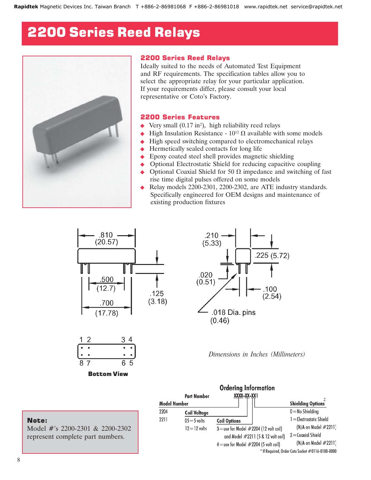## 2200 Series Reed Relays



#### 2200 Series Reed Relays

Ideally suited to the needs of Automated Test Equipment and RF requirements. The specification tables allow you to select the appropriate relay for your particular application. If your requirements differ, please consult your local representative or Coto's Factory.

#### 2200 Series Features

- $\blacklozenge$  Very small (0.17 in<sup>2</sup>), high reliability reed relays
- $\leftrightarrow$  High Insulation Resistance  $10^{12} \Omega$  available with some models
- $\leftrightarrow$  High speed switching compared to electromechanical relays
- $\triangle$  Hermetically sealed contacts for long life
- Epoxy coated steel shell provides magnetic shielding
- Optional Electrostatic Shield for reducing capacitive coupling
- Optional Coaxial Shield for 50  $\Omega$  impedance and switching of fast rise time digital pulses offered on some models
- Relay models 2200-2301, 2200-2302, are ATE industry standards. Specifically engineered for OEM designs and maintenance of existing production fixtures





Bottom View



*Dimensions in Inches (Millimeters)*

|                     | <b>Part Number</b>  | <b>Ordering Information</b><br>XXXX-XX-XXI  |                                              |                                                  |  |
|---------------------|---------------------|---------------------------------------------|----------------------------------------------|--------------------------------------------------|--|
| <b>Model Number</b> |                     |                                             |                                              | <b>Shielding Options</b>                         |  |
| 2204                | <b>Coil Voltage</b> |                                             |                                              | $0 =$ No Shielding                               |  |
| 2211                | $05 = 5$ volts      | <b>Coil Options</b>                         |                                              | $l =$ Electrostatic Shield                       |  |
|                     | $12 = 12$ volts     | $3$ = use for Model $\#2204$ (12 volt coil) | (N/A on Model #2211)<br>$2 =$ Coaxial Shield |                                                  |  |
|                     |                     | and Model #2211 (5 & 12 volt coil)          |                                              |                                                  |  |
|                     |                     | $4$ = use for Model $#2204$ (5 volt coil)   |                                              | (N/A on Model #2211)                             |  |
|                     |                     |                                             |                                              | * If Required, Order Coto Socket #0116-0100-0000 |  |

#### Note:

Model #'s 2200-2301 & 2200-2302 represent complete part numbers.